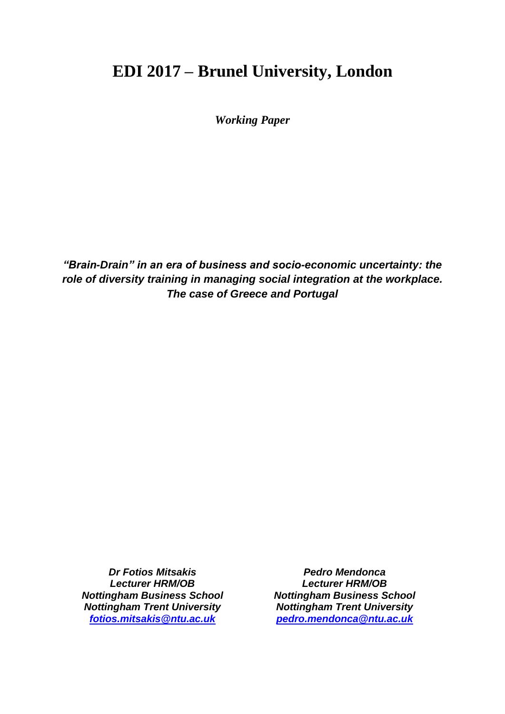# **EDI 2017 – Brunel University, London**

*Working Paper*

*"Brain-Drain" in an era of business and socio-economic uncertainty: the role of diversity training in managing social integration at the workplace. The case of Greece and Portugal*

*Dr Fotios Mitsakis Lecturer HRM/OB Nottingham Business School Nottingham Trent University [fotios.mitsakis@ntu.ac.uk](mailto:fotios.mitsakis@ntu.ac.uk)*

*Pedro Mendonca Lecturer HRM/OB Nottingham Business School Nottingham Trent University [pedro.mendonca@ntu.ac.uk](mailto:pedro.mendonca@ntu.ac.uk)*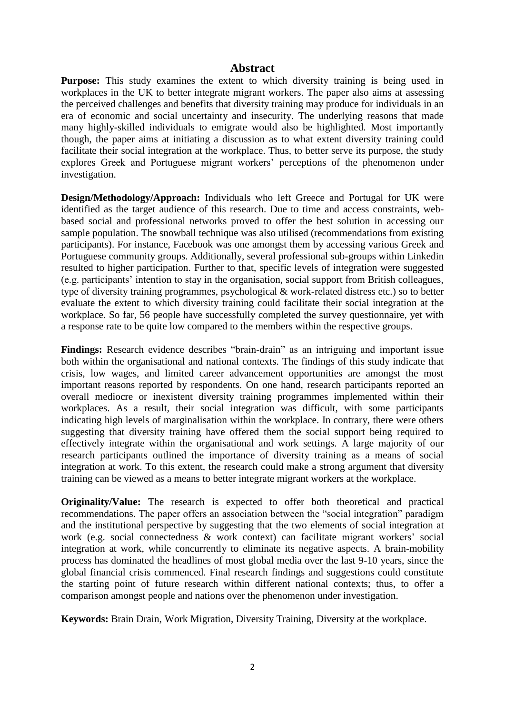#### **Abstract**

**Purpose:** This study examines the extent to which diversity training is being used in workplaces in the UK to better integrate migrant workers. The paper also aims at assessing the perceived challenges and benefits that diversity training may produce for individuals in an era of economic and social uncertainty and insecurity. The underlying reasons that made many highly-skilled individuals to emigrate would also be highlighted. Most importantly though, the paper aims at initiating a discussion as to what extent diversity training could facilitate their social integration at the workplace. Thus, to better serve its purpose, the study explores Greek and Portuguese migrant workers' perceptions of the phenomenon under investigation.

**Design/Methodology/Approach:** Individuals who left Greece and Portugal for UK were identified as the target audience of this research. Due to time and access constraints, webbased social and professional networks proved to offer the best solution in accessing our sample population. The snowball technique was also utilised (recommendations from existing participants). For instance, Facebook was one amongst them by accessing various Greek and Portuguese community groups. Additionally, several professional sub-groups within Linkedin resulted to higher participation. Further to that, specific levels of integration were suggested (e.g. participants' intention to stay in the organisation, social support from British colleagues, type of diversity training programmes, psychological & work-related distress etc.) so to better evaluate the extent to which diversity training could facilitate their social integration at the workplace. So far, 56 people have successfully completed the survey questionnaire, yet with a response rate to be quite low compared to the members within the respective groups.

**Findings:** Research evidence describes "brain-drain" as an intriguing and important issue both within the organisational and national contexts. The findings of this study indicate that crisis, low wages, and limited career advancement opportunities are amongst the most important reasons reported by respondents. On one hand, research participants reported an overall mediocre or inexistent diversity training programmes implemented within their workplaces. As a result, their social integration was difficult, with some participants indicating high levels of marginalisation within the workplace. In contrary, there were others suggesting that diversity training have offered them the social support being required to effectively integrate within the organisational and work settings. A large majority of our research participants outlined the importance of diversity training as a means of social integration at work. To this extent, the research could make a strong argument that diversity training can be viewed as a means to better integrate migrant workers at the workplace.

**Originality/Value:** The research is expected to offer both theoretical and practical recommendations. The paper offers an association between the "social integration" paradigm and the institutional perspective by suggesting that the two elements of social integration at work (e.g. social connectedness & work context) can facilitate migrant workers' social integration at work, while concurrently to eliminate its negative aspects. A brain-mobility process has dominated the headlines of most global media over the last 9-10 years, since the global financial crisis commenced. Final research findings and suggestions could constitute the starting point of future research within different national contexts; thus, to offer a comparison amongst people and nations over the phenomenon under investigation.

**Keywords:** Brain Drain, Work Migration, Diversity Training, Diversity at the workplace.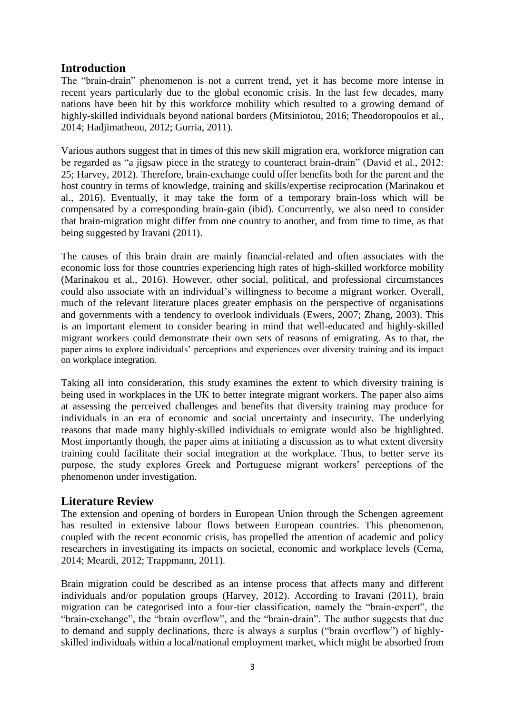## **Introduction**

The "brain-drain" phenomenon is not a current trend, yet it has become more intense in recent years particularly due to the global economic crisis. In the last few decades, many nations have been hit by this workforce mobility which resulted to a growing demand of highly-skilled individuals beyond national borders (Mitsiniotou, 2016; Theodoropoulos et al., 2014; Hadjimatheou, 2012; Gurria, 2011).

Various authors suggest that in times of this new skill migration era, workforce migration can be regarded as "a jigsaw piece in the strategy to counteract brain-drain" (David et al., 2012: 25; Harvey, 2012). Therefore, brain-exchange could offer benefits both for the parent and the host country in terms of knowledge, training and skills/expertise reciprocation (Marinakou et al., 2016). Eventually, it may take the form of a temporary brain-loss which will be compensated by a corresponding brain-gain (ibid). Concurrently, we also need to consider that brain-migration might differ from one country to another, and from time to time, as that being suggested by Iravani (2011).

The causes of this brain drain are mainly financial-related and often associates with the economic loss for those countries experiencing high rates of high-skilled workforce mobility (Marinakou et al., 2016). However, other social, political, and professional circumstances could also associate with an individual's willingness to become a migrant worker. Overall, much of the relevant literature places greater emphasis on the perspective of organisations and governments with a tendency to overlook individuals (Ewers, 2007; Zhang, 2003). This is an important element to consider bearing in mind that well-educated and highly-skilled migrant workers could demonstrate their own sets of reasons of emigrating. As to that, the paper aims to explore individuals' perceptions and experiences over diversity training and its impact on workplace integration.

Taking all into consideration, this study examines the extent to which diversity training is being used in workplaces in the UK to better integrate migrant workers. The paper also aims at assessing the perceived challenges and benefits that diversity training may produce for individuals in an era of economic and social uncertainty and insecurity. The underlying reasons that made many highly-skilled individuals to emigrate would also be highlighted. Most importantly though, the paper aims at initiating a discussion as to what extent diversity training could facilitate their social integration at the workplace. Thus, to better serve its purpose, the study explores Greek and Portuguese migrant workers' perceptions of the phenomenon under investigation.

## **Literature Review**

The extension and opening of borders in European Union through the Schengen agreement has resulted in extensive labour flows between European countries. This phenomenon, coupled with the recent economic crisis, has propelled the attention of academic and policy researchers in investigating its impacts on societal, economic and workplace levels (Cerna, 2014; Meardi, 2012; Trappmann, 2011).

Brain migration could be described as an intense process that affects many and different individuals and/or population groups (Harvey, 2012). According to Iravani (2011), brain migration can be categorised into a four-tier classification, namely the "brain-expert", the "brain-exchange", the "brain overflow", and the "brain-drain". The author suggests that due to demand and supply declinations, there is always a surplus ("brain overflow") of highlyskilled individuals within a local/national employment market, which might be absorbed from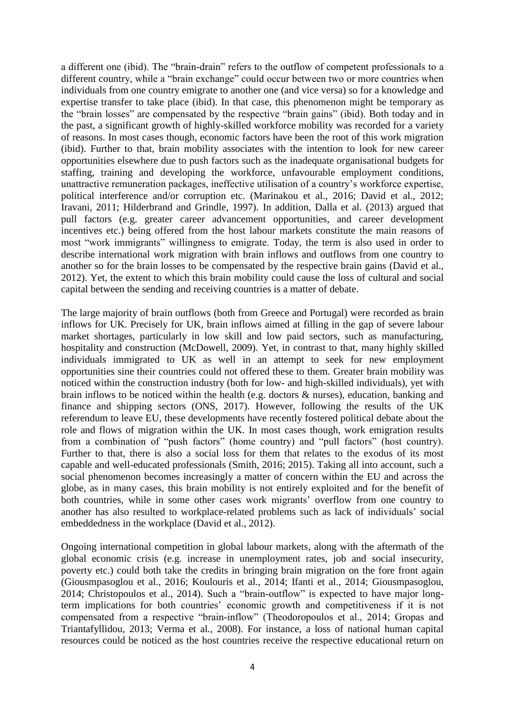a different one (ibid). The "brain-drain" refers to the outflow of competent professionals to a different country, while a "brain exchange" could occur between two or more countries when individuals from one country emigrate to another one (and vice versa) so for a knowledge and expertise transfer to take place (ibid). In that case, this phenomenon might be temporary as the "brain losses" are compensated by the respective "brain gains" (ibid). Both today and in the past, a significant growth of highly-skilled workforce mobility was recorded for a variety of reasons. In most cases though, economic factors have been the root of this work migration (ibid). Further to that, brain mobility associates with the intention to look for new career opportunities elsewhere due to push factors such as the inadequate organisational budgets for staffing, training and developing the workforce, unfavourable employment conditions, unattractive remuneration packages, ineffective utilisation of a country's workforce expertise, political interference and/or corruption etc. (Marinakou et al., 2016; David et al., 2012; Iravani, 2011; Hilderbrand and Grindle, 1997). In addition, Dalla et al. (2013) argued that pull factors (e.g. greater career advancement opportunities, and career development incentives etc.) being offered from the host labour markets constitute the main reasons of most "work immigrants" willingness to emigrate. Today, the term is also used in order to describe international work migration with brain inflows and outflows from one country to another so for the brain losses to be compensated by the respective brain gains (David et al., 2012). Yet, the extent to which this brain mobility could cause the loss of cultural and social capital between the sending and receiving countries is a matter of debate.

The large majority of brain outflows (both from Greece and Portugal) were recorded as brain inflows for UK. Precisely for UK, brain inflows aimed at filling in the gap of severe labour market shortages, particularly in low skill and low paid sectors, such as manufacturing, hospitality and construction (McDowell, 2009). Yet, in contrast to that, many highly skilled individuals immigrated to UK as well in an attempt to seek for new employment opportunities sine their countries could not offered these to them. Greater brain mobility was noticed within the construction industry (both for low- and high-skilled individuals), yet with brain inflows to be noticed within the health (e.g. doctors & nurses), education, banking and finance and shipping sectors (ONS, 2017). However, following the results of the UK referendum to leave EU, these developments have recently fostered political debate about the role and flows of migration within the UK. In most cases though, work emigration results from a combination of "push factors" (home country) and "pull factors" (host country). Further to that, there is also a social loss for them that relates to the exodus of its most capable and well-educated professionals (Smith, 2016; 2015). Taking all into account, such a social phenomenon becomes increasingly a matter of concern within the EU and across the globe, as in many cases, this brain mobility is not entirely exploited and for the benefit of both countries, while in some other cases work migrants' overflow from one country to another has also resulted to workplace-related problems such as lack of individuals' social embeddedness in the workplace (David et al., 2012).

Ongoing international competition in global labour markets, along with the aftermath of the global economic crisis (e.g. increase in unemployment rates, job and social insecurity, poverty etc.) could both take the credits in bringing brain migration on the fore front again (Giousmpasoglou et al., 2016; Koulouris et al., 2014; Ifanti et al., 2014; Giousmpasoglou, 2014; Christopoulos et al., 2014). Such a "brain-outflow" is expected to have major longterm implications for both countries' economic growth and competitiveness if it is not compensated from a respective "brain-inflow" (Theodoropoulos et al., 2014; Gropas and Triantafyllidou, 2013; Verma et al., 2008). For instance, a loss of national human capital resources could be noticed as the host countries receive the respective educational return on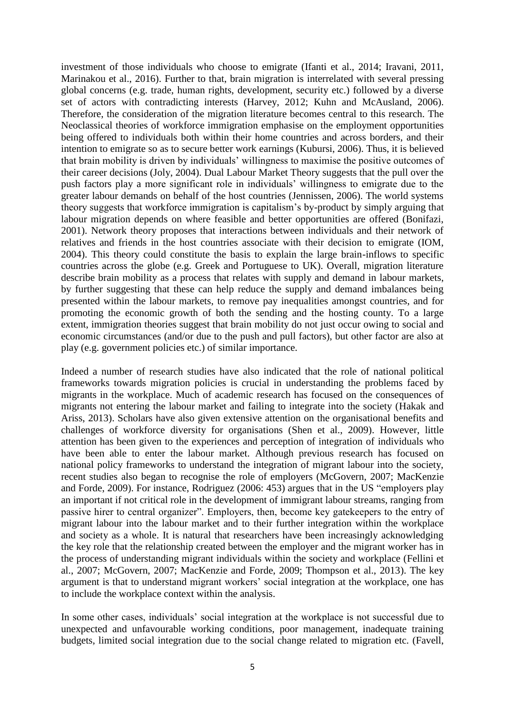investment of those individuals who choose to emigrate (Ifanti et al., 2014; Iravani, 2011, Marinakou et al., 2016). Further to that, brain migration is interrelated with several pressing global concerns (e.g. trade, human rights, development, security etc.) followed by a diverse set of actors with contradicting interests (Harvey, 2012; Kuhn and McAusland, 2006). Therefore, the consideration of the migration literature becomes central to this research. The Neoclassical theories of workforce immigration emphasise on the employment opportunities being offered to individuals both within their home countries and across borders, and their intention to emigrate so as to secure better work earnings (Kubursi, 2006). Thus, it is believed that brain mobility is driven by individuals' willingness to maximise the positive outcomes of their career decisions (Joly, 2004). Dual Labour Market Theory suggests that the pull over the push factors play a more significant role in individuals' willingness to emigrate due to the greater labour demands on behalf of the host countries (Jennissen, 2006). The world systems theory suggests that workforce immigration is capitalism's by-product by simply arguing that labour migration depends on where feasible and better opportunities are offered (Bonifazi, 2001). Network theory proposes that interactions between individuals and their network of relatives and friends in the host countries associate with their decision to emigrate (IOM, 2004). This theory could constitute the basis to explain the large brain-inflows to specific countries across the globe (e.g. Greek and Portuguese to UK). Overall, migration literature describe brain mobility as a process that relates with supply and demand in labour markets, by further suggesting that these can help reduce the supply and demand imbalances being presented within the labour markets, to remove pay inequalities amongst countries, and for promoting the economic growth of both the sending and the hosting county. To a large extent, immigration theories suggest that brain mobility do not just occur owing to social and economic circumstances (and/or due to the push and pull factors), but other factor are also at play (e.g. government policies etc.) of similar importance.

Indeed a number of research studies have also indicated that the role of national political frameworks towards migration policies is crucial in understanding the problems faced by migrants in the workplace. Much of academic research has focused on the consequences of migrants not entering the labour market and failing to integrate into the society (Hakak and Ariss, 2013). Scholars have also given extensive attention on the organisational benefits and challenges of workforce diversity for organisations (Shen et al., 2009). However, little attention has been given to the experiences and perception of integration of individuals who have been able to enter the labour market. Although previous research has focused on national policy frameworks to understand the integration of migrant labour into the society, recent studies also began to recognise the role of employers (McGovern, 2007; MacKenzie and Forde, 2009). For instance, Rodriguez (2006: 453) argues that in the US "employers play an important if not critical role in the development of immigrant labour streams, ranging from passive hirer to central organizer". Employers, then, become key gatekeepers to the entry of migrant labour into the labour market and to their further integration within the workplace and society as a whole. It is natural that researchers have been increasingly acknowledging the key role that the relationship created between the employer and the migrant worker has in the process of understanding migrant individuals within the society and workplace (Fellini et al., 2007; McGovern, 2007; MacKenzie and Forde, 2009; Thompson et al., 2013). The key argument is that to understand migrant workers' social integration at the workplace, one has to include the workplace context within the analysis.

In some other cases, individuals' social integration at the workplace is not successful due to unexpected and unfavourable working conditions, poor management, inadequate training budgets, limited social integration due to the social change related to migration etc. (Favell,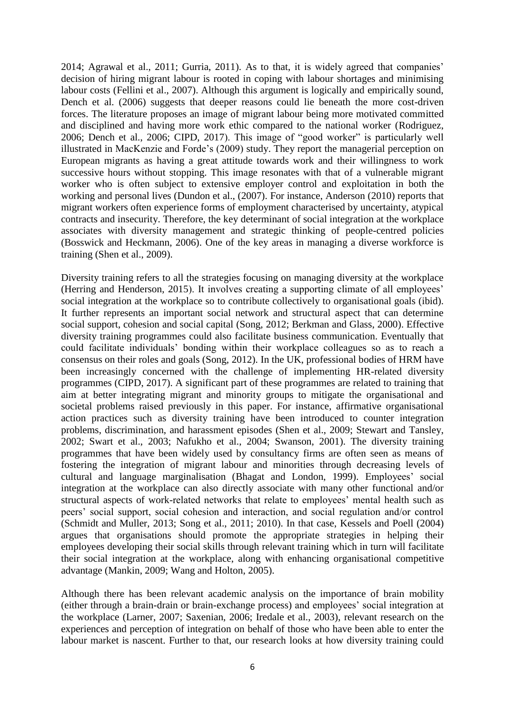2014; Agrawal et al., 2011; Gurria, 2011). As to that, it is widely agreed that companies' decision of hiring migrant labour is rooted in coping with labour shortages and minimising labour costs (Fellini et al., 2007). Although this argument is logically and empirically sound, Dench et al. (2006) suggests that deeper reasons could lie beneath the more cost-driven forces. The literature proposes an image of migrant labour being more motivated committed and disciplined and having more work ethic compared to the national worker (Rodriguez, 2006; Dench et al., 2006; CIPD, 2017). This image of "good worker" is particularly well illustrated in MacKenzie and Forde's (2009) study. They report the managerial perception on European migrants as having a great attitude towards work and their willingness to work successive hours without stopping. This image resonates with that of a vulnerable migrant worker who is often subject to extensive employer control and exploitation in both the working and personal lives (Dundon et al., (2007). For instance, Anderson (2010) reports that migrant workers often experience forms of employment characterised by uncertainty, atypical contracts and insecurity. Therefore, the key determinant of social integration at the workplace associates with diversity management and strategic thinking of people-centred policies (Bosswick and Heckmann, 2006). One of the key areas in managing a diverse workforce is training (Shen et al., 2009).

Diversity training refers to all the strategies focusing on managing diversity at the workplace (Herring and Henderson, 2015). It involves creating a supporting climate of all employees' social integration at the workplace so to contribute collectively to organisational goals (ibid). It further represents an important social network and structural aspect that can determine social support, cohesion and social capital (Song, 2012; Berkman and Glass, 2000). Effective diversity training programmes could also facilitate business communication. Eventually that could facilitate individuals' bonding within their workplace colleagues so as to reach a consensus on their roles and goals (Song, 2012). In the UK, professional bodies of HRM have been increasingly concerned with the challenge of implementing HR-related diversity programmes (CIPD, 2017). A significant part of these programmes are related to training that aim at better integrating migrant and minority groups to mitigate the organisational and societal problems raised previously in this paper. For instance, affirmative organisational action practices such as diversity training have been introduced to counter integration problems, discrimination, and harassment episodes (Shen et al., 2009; Stewart and Tansley, 2002; Swart et al., 2003; Nafukho et al., 2004; Swanson, 2001). The diversity training programmes that have been widely used by consultancy firms are often seen as means of fostering the integration of migrant labour and minorities through decreasing levels of cultural and language marginalisation (Bhagat and London, 1999). Employees' social integration at the workplace can also directly associate with many other functional and/or structural aspects of work-related networks that relate to employees' mental health such as peers' social support, social cohesion and interaction, and social regulation and/or control (Schmidt and Muller, 2013; Song et al., 2011; 2010). In that case, Kessels and Poell (2004) argues that organisations should promote the appropriate strategies in helping their employees developing their social skills through relevant training which in turn will facilitate their social integration at the workplace, along with enhancing organisational competitive advantage (Mankin, 2009; Wang and Holton, 2005).

Although there has been relevant academic analysis on the importance of brain mobility (either through a brain-drain or brain-exchange process) and employees' social integration at the workplace (Larner, 2007; Saxenian, 2006; Iredale et al., 2003), relevant research on the experiences and perception of integration on behalf of those who have been able to enter the labour market is nascent. Further to that, our research looks at how diversity training could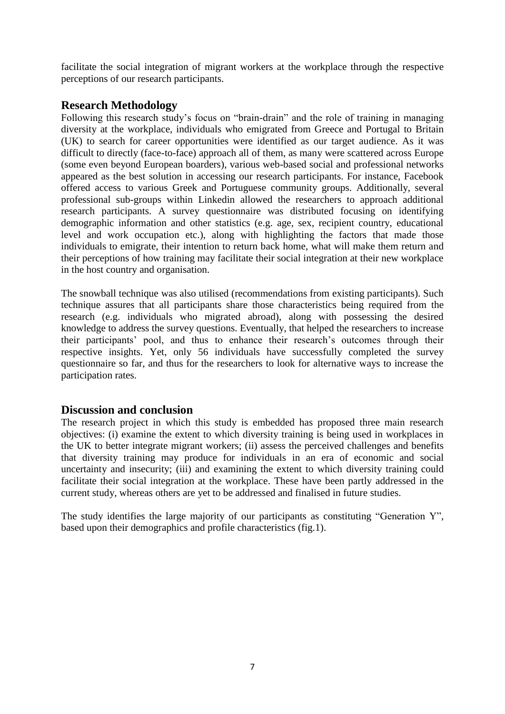facilitate the social integration of migrant workers at the workplace through the respective perceptions of our research participants.

#### **Research Methodology**

Following this research study's focus on "brain-drain" and the role of training in managing diversity at the workplace, individuals who emigrated from Greece and Portugal to Britain (UK) to search for career opportunities were identified as our target audience. As it was difficult to directly (face-to-face) approach all of them, as many were scattered across Europe (some even beyond European boarders), various web-based social and professional networks appeared as the best solution in accessing our research participants. For instance, Facebook offered access to various Greek and Portuguese community groups. Additionally, several professional sub-groups within Linkedin allowed the researchers to approach additional research participants. A survey questionnaire was distributed focusing on identifying demographic information and other statistics (e.g. age, sex, recipient country, educational level and work occupation etc.), along with highlighting the factors that made those individuals to emigrate, their intention to return back home, what will make them return and their perceptions of how training may facilitate their social integration at their new workplace in the host country and organisation.

The snowball technique was also utilised (recommendations from existing participants). Such technique assures that all participants share those characteristics being required from the research (e.g. individuals who migrated abroad), along with possessing the desired knowledge to address the survey questions. Eventually, that helped the researchers to increase their participants' pool, and thus to enhance their research's outcomes through their respective insights. Yet, only 56 individuals have successfully completed the survey questionnaire so far, and thus for the researchers to look for alternative ways to increase the participation rates.

## **Discussion and conclusion**

The research project in which this study is embedded has proposed three main research objectives: (i) examine the extent to which diversity training is being used in workplaces in the UK to better integrate migrant workers; (ii) assess the perceived challenges and benefits that diversity training may produce for individuals in an era of economic and social uncertainty and insecurity; (iii) and examining the extent to which diversity training could facilitate their social integration at the workplace. These have been partly addressed in the current study, whereas others are yet to be addressed and finalised in future studies.

The study identifies the large majority of our participants as constituting "Generation Y", based upon their demographics and profile characteristics (fig.1).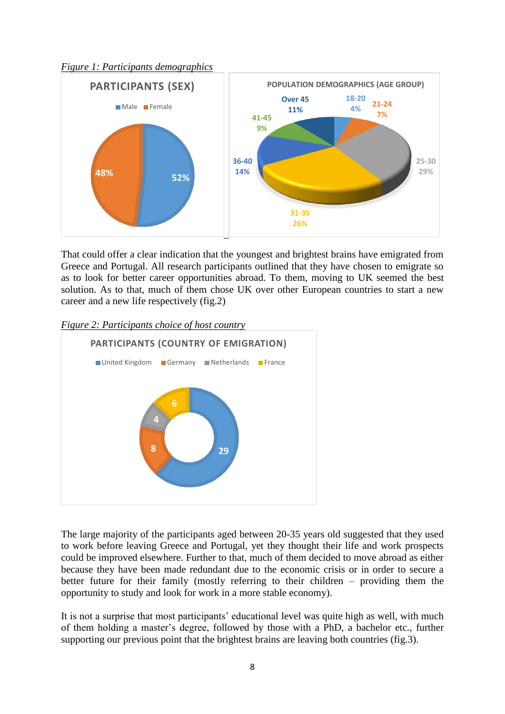*Figure 1: Participants demographics*



That could offer a clear indication that the youngest and brightest brains have emigrated from Greece and Portugal. All research participants outlined that they have chosen to emigrate so as to look for better career opportunities abroad. To them, moving to UK seemed the best solution. As to that, much of them chose UK over other European countries to start a new career and a new life respectively (fig.2)



*Figure 2: Participants choice of host country*

The large majority of the participants aged between 20-35 years old suggested that they used to work before leaving Greece and Portugal, yet they thought their life and work prospects could be improved elsewhere. Further to that, much of them decided to move abroad as either because they have been made redundant due to the economic crisis or in order to secure a better future for their family (mostly referring to their children – providing them the opportunity to study and look for work in a more stable economy).

It is not a surprise that most participants' educational level was quite high as well, with much of them holding a master's degree, followed by those with a PhD, a bachelor etc., further supporting our previous point that the brightest brains are leaving both countries (fig.3).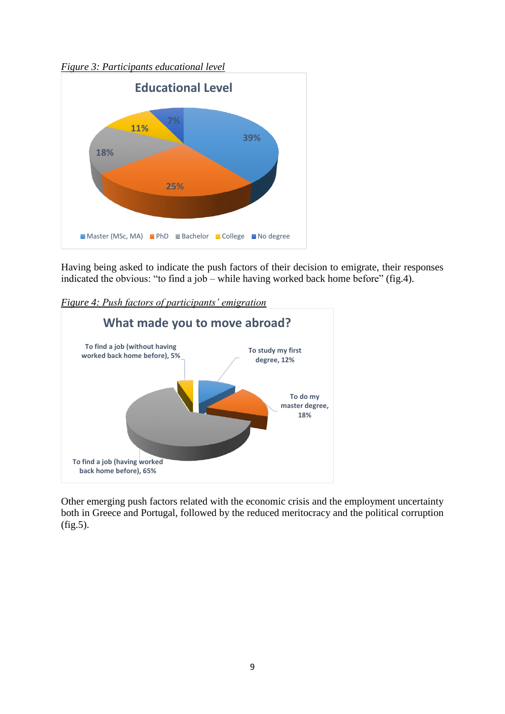*Figure 3: Participants educational level*



Having being asked to indicate the push factors of their decision to emigrate, their responses indicated the obvious: "to find a job – while having worked back home before" (fig.4).

*Figure 4: Push factors of participants' emigration*



Other emerging push factors related with the economic crisis and the employment uncertainty both in Greece and Portugal, followed by the reduced meritocracy and the political corruption (fig.5).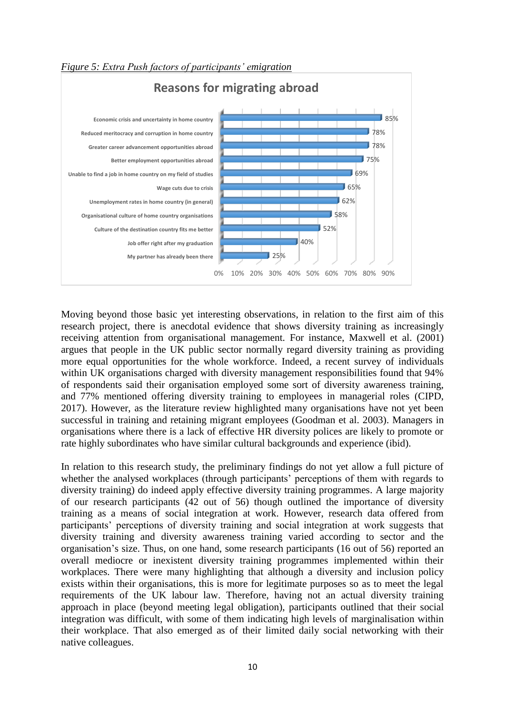

*Figure 5: Extra Push factors of participants' emigration*

Moving beyond those basic yet interesting observations, in relation to the first aim of this research project, there is anecdotal evidence that shows diversity training as increasingly receiving attention from organisational management. For instance, Maxwell et al. (2001) argues that people in the UK public sector normally regard diversity training as providing more equal opportunities for the whole workforce. Indeed, a recent survey of individuals within UK organisations charged with diversity management responsibilities found that 94% of respondents said their organisation employed some sort of diversity awareness training, and 77% mentioned offering diversity training to employees in managerial roles (CIPD, 2017). However, as the literature review highlighted many organisations have not yet been successful in training and retaining migrant employees (Goodman et al. 2003). Managers in organisations where there is a lack of effective HR diversity polices are likely to promote or rate highly subordinates who have similar cultural backgrounds and experience (ibid).

In relation to this research study, the preliminary findings do not yet allow a full picture of whether the analysed workplaces (through participants' perceptions of them with regards to diversity training) do indeed apply effective diversity training programmes. A large majority of our research participants (42 out of 56) though outlined the importance of diversity training as a means of social integration at work. However, research data offered from participants' perceptions of diversity training and social integration at work suggests that diversity training and diversity awareness training varied according to sector and the organisation's size. Thus, on one hand, some research participants (16 out of 56) reported an overall mediocre or inexistent diversity training programmes implemented within their workplaces. There were many highlighting that although a diversity and inclusion policy exists within their organisations, this is more for legitimate purposes so as to meet the legal requirements of the UK labour law. Therefore, having not an actual diversity training approach in place (beyond meeting legal obligation), participants outlined that their social integration was difficult, with some of them indicating high levels of marginalisation within their workplace. That also emerged as of their limited daily social networking with their native colleagues.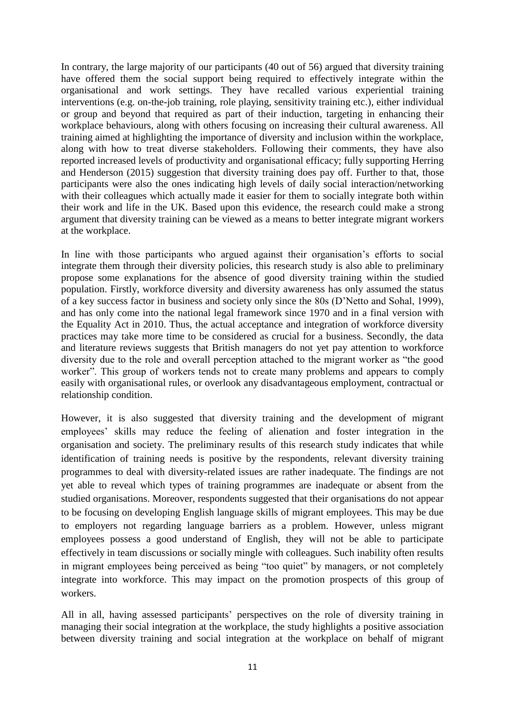In contrary, the large majority of our participants (40 out of 56) argued that diversity training have offered them the social support being required to effectively integrate within the organisational and work settings. They have recalled various experiential training interventions (e.g. on-the-job training, role playing, sensitivity training etc.), either individual or group and beyond that required as part of their induction, targeting in enhancing their workplace behaviours, along with others focusing on increasing their cultural awareness. All training aimed at highlighting the importance of diversity and inclusion within the workplace, along with how to treat diverse stakeholders. Following their comments, they have also reported increased levels of productivity and organisational efficacy; fully supporting Herring and Henderson (2015) suggestion that diversity training does pay off. Further to that, those participants were also the ones indicating high levels of daily social interaction/networking with their colleagues which actually made it easier for them to socially integrate both within their work and life in the UK. Based upon this evidence, the research could make a strong argument that diversity training can be viewed as a means to better integrate migrant workers at the workplace.

In line with those participants who argued against their organisation's efforts to social integrate them through their diversity policies, this research study is also able to preliminary propose some explanations for the absence of good diversity training within the studied population. Firstly, workforce diversity and diversity awareness has only assumed the status of a key success factor in business and society only since the 80s (D'Netto and Sohal, 1999), and has only come into the national legal framework since 1970 and in a final version with the Equality Act in 2010. Thus, the actual acceptance and integration of workforce diversity practices may take more time to be considered as crucial for a business. Secondly, the data and literature reviews suggests that British managers do not yet pay attention to workforce diversity due to the role and overall perception attached to the migrant worker as "the good worker". This group of workers tends not to create many problems and appears to comply easily with organisational rules, or overlook any disadvantageous employment, contractual or relationship condition.

However, it is also suggested that diversity training and the development of migrant employees' skills may reduce the feeling of alienation and foster integration in the organisation and society. The preliminary results of this research study indicates that while identification of training needs is positive by the respondents, relevant diversity training programmes to deal with diversity-related issues are rather inadequate. The findings are not yet able to reveal which types of training programmes are inadequate or absent from the studied organisations. Moreover, respondents suggested that their organisations do not appear to be focusing on developing English language skills of migrant employees. This may be due to employers not regarding language barriers as a problem. However, unless migrant employees possess a good understand of English, they will not be able to participate effectively in team discussions or socially mingle with colleagues. Such inability often results in migrant employees being perceived as being "too quiet" by managers, or not completely integrate into workforce. This may impact on the promotion prospects of this group of workers.

All in all, having assessed participants' perspectives on the role of diversity training in managing their social integration at the workplace, the study highlights a positive association between diversity training and social integration at the workplace on behalf of migrant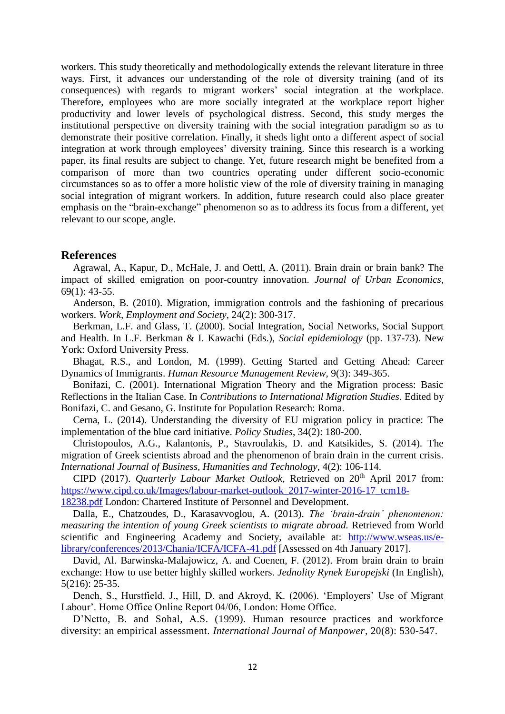workers. This study theoretically and methodologically extends the relevant literature in three ways. First, it advances our understanding of the role of diversity training (and of its consequences) with regards to migrant workers' social integration at the workplace. Therefore, employees who are more socially integrated at the workplace report higher productivity and lower levels of psychological distress. Second, this study merges the institutional perspective on diversity training with the social integration paradigm so as to demonstrate their positive correlation. Finally, it sheds light onto a different aspect of social integration at work through employees' diversity training. Since this research is a working paper, its final results are subject to change. Yet, future research might be benefited from a comparison of more than two countries operating under different socio-economic circumstances so as to offer a more holistic view of the role of diversity training in managing social integration of migrant workers. In addition, future research could also place greater emphasis on the "brain-exchange" phenomenon so as to address its focus from a different, yet relevant to our scope, angle.

#### **References**

Agrawal, A., Kapur, D., McHale, J. and Oettl, A. (2011). Brain drain or brain bank? The impact of skilled emigration on poor-country innovation. *Journal of Urban Economics*, 69(1): 43-55.

Anderson, B. (2010). Migration, immigration controls and the fashioning of precarious workers. *Work, Employment and Society,* 24(2): 300-317.

Berkman, L.F. and Glass, T. (2000). Social Integration, Social Networks, Social Support and Health. In L.F. Berkman & I. Kawachi (Eds.), *Social epidemiology* (pp. 137-73). New York: Oxford University Press.

Bhagat, R.S., and London, M. (1999). Getting Started and Getting Ahead: Career Dynamics of Immigrants. *Human Resource Management Review*, 9(3): 349-365.

Bonifazi, C. (2001). International Migration Theory and the Migration process: Basic Reflections in the Italian Case. In *Contributions to International Migration Studies*. Edited by Bonifazi, C. and Gesano, G. Institute for Population Research: Roma.

Cerna, L. (2014). Understanding the diversity of EU migration policy in practice: The implementation of the blue card initiative. *Policy Studies*, 34(2): 180-200.

Christopoulos, A.G., Kalantonis, P., Stavroulakis, D. and Katsikides, S. (2014). The migration of Greek scientists abroad and the phenomenon of brain drain in the current crisis. *International Journal of Business, Humanities and Technology*, 4(2): 106-114.

CIPD (2017). *Quarterly Labour Market Outlook*, Retrieved on 20<sup>th</sup> April 2017 from: [https://www.cipd.co.uk/Images/labour-market-outlook\\_2017-winter-2016-17\\_tcm18-](https://www.cipd.co.uk/Images/labour-market-outlook_2017-winter-2016-17_tcm18-18238.pdf)

[18238.pdf](https://www.cipd.co.uk/Images/labour-market-outlook_2017-winter-2016-17_tcm18-18238.pdf) London: Chartered Institute of Personnel and Development.

Dalla, E., Chatzoudes, D., Karasavvoglou, A. (2013). *The 'brain-drain' phenomenon: measuring the intention of young Greek scientists to migrate abroad.* Retrieved from World scientific and Engineering Academy and Society, available at: [http://www.wseas.us/e](http://www.wseas.us/e-library/conferences/2013/Chania/ICFA/ICFA-41.pdf)[library/conferences/2013/Chania/ICFA/ICFA-41.pdf](http://www.wseas.us/e-library/conferences/2013/Chania/ICFA/ICFA-41.pdf) [Assessed on 4th January 2017].

David, Al. Barwinska-Malajowicz, A. and Coenen, F. (2012). From brain drain to brain exchange: How to use better highly skilled workers. *Jednolity Rynek Europejski* (In English), 5(216): 25-35.

Dench, S., Hurstfield, J., Hill, D. and Akroyd, K. (2006). 'Employers' Use of Migrant Labour'. Home Office Online Report 04/06, London: Home Office.

[D'Netto,](http://www.emeraldinsight.com/author/D%27Netto%2C+Brian) B. and [Sohal,](http://www.emeraldinsight.com/author/Sohal%2C+Amrik+S) A.S. (1999). Human resource practices and workforce diversity: an empirical assessment. *International Journal of Manpower*, 20(8): 530-547.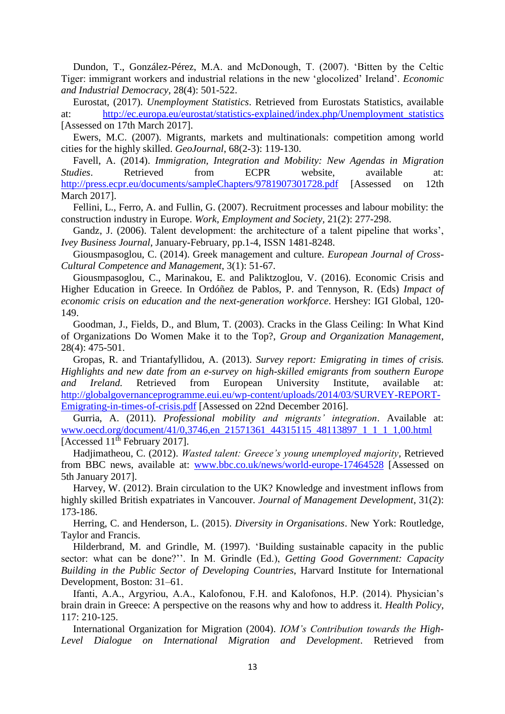Dundon, T., González-Pérez, M.A. and McDonough, T. (2007). 'Bitten by the Celtic Tiger: immigrant workers and industrial relations in the new 'glocolized' Ireland'. *Economic and Industrial Democracy,* 28(4): 501-522.

Eurostat, (2017). *Unemployment Statistics*. Retrieved from Eurostats Statistics, available at: [http://ec.europa.eu/eurostat/statistics-explained/index.php/Unemployment\\_statistics](http://ec.europa.eu/eurostat/statistics-explained/index.php/Unemployment_statistics) [Assessed on 17th March 2017].

Ewers, M.C. (2007). Migrants, markets and multinationals: competition among world cities for the highly skilled. *GeoJournal*, 68(2-3): 119-130.

Favell, A. (2014). *Immigration, Integration and Mobility: New Agendas in Migration Studies*. Retrieved from ECPR website, available at: <http://press.ecpr.eu/documents/sampleChapters/9781907301728.pdf> [Assessed on 12th March 2017].

Fellini, L., Ferro, A. and Fullin, G. (2007). Recruitment processes and labour mobility: the construction industry in Europe. *Work, Employment and Society,* 21(2): 277-298.

Gandz, J. (2006). Talent development: the architecture of a talent pipeline that works', *Ivey Business Journal*, January-February, pp.1-4, ISSN 1481-8248.

Giousmpasoglou, C. (2014). Greek management and culture. *European Journal of Cross-Cultural Competence and Management*, 3(1): 51-67.

Giousmpasoglou, C., Marinakou, E. and Paliktzoglou, V. (2016). Economic Crisis and Higher Education in Greece. In Ordóñez de Pablos, P. and Tennyson, R. (Eds) *Impact of economic crisis on education and the next-generation workforce*. Hershey: IGI Global, 120- 149.

Goodman, J., Fields, D., and Blum, T. (2003). Cracks in the Glass Ceiling: In What Kind of Organizations Do Women Make it to the Top?, *Group and Organization Management*, 28(4): 475-501.

Gropas, R. and Triantafyllidou, A. (2013). *Survey report: Emigrating in times of crisis. Highlights and new date from an e-survey on high-skilled emigrants from southern Europe and Ireland.* Retrieved from European University Institute, available at: [http://globalgovernanceprogramme.eui.eu/wp-content/uploads/2014/03/SURVEY-REPORT-](http://globalgovernanceprogramme.eui.eu/wp-content/uploads/2014/03/SURVEY-REPORT-Emigrating-in-times-of-crisis.pdf)[Emigrating-in-times-of-crisis.pdf](http://globalgovernanceprogramme.eui.eu/wp-content/uploads/2014/03/SURVEY-REPORT-Emigrating-in-times-of-crisis.pdf) [Assessed on 22nd December 2016].

Gurria, A. (2011). *Professional mobility and migrants' integration*. Available at: [www.oecd.org/document/41/0,3746,en\\_21571361\\_44315115\\_48113897\\_1\\_1\\_1\\_1,00.html](http://www.oecd.org/document/41/0,3746,en_21571361_44315115_48113897_1_1_1_1,00.html) [Accessed  $11^{\text{th}}$  February 2017].

Hadjimatheou, C. (2012). *Wasted talent: Greece's young unemployed majority*, Retrieved from BBC news, available at: [www.bbc.co.uk/news/world-europe-17464528](http://www.bbc.co.uk/news/world-europe-17464528) [Assessed on 5th January 2017].

Harvey, W. (2012). Brain circulation to the UK? Knowledge and investment inflows from highly skilled British expatriates in Vancouver. *Journal of Management Development*, 31(2): 173-186.

Herring, C. and Henderson, L. (2015). *Diversity in Organisations*. New York: Routledge, Taylor and Francis.

Hilderbrand, M. and Grindle, M. (1997). 'Building sustainable capacity in the public sector: what can be done?''. In M. Grindle (Ed.), *Getting Good Government: Capacity Building in the Public Sector of Developing Countries*, Harvard Institute for International Development, Boston: 31–61.

Ifanti, A.A., Argyriou, A.A., Kalofonou, F.H. and Kalofonos, H.P. (2014). Physician's brain drain in Greece: A perspective on the reasons why and how to address it. *Health Policy*, 117: 210-125.

International Organization for Migration (2004). *IOM's Contribution towards the High-Level Dialogue on International Migration and Development*. Retrieved from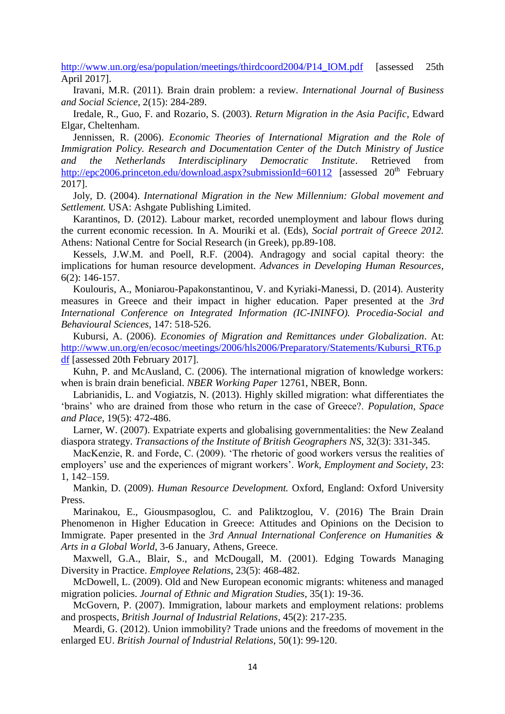[http://www.un.org/esa/population/meetings/thirdcoord2004/P14\\_IOM.pdf](http://www.un.org/esa/population/meetings/thirdcoord2004/P14_IOM.pdf) [assessed 25th April 2017].

Iravani, M.R. (2011). Brain drain problem: a review. *International Journal of Business and Social Science*, 2(15): 284-289.

Iredale, R., Guo, F. and Rozario, S. (2003). *Return Migration in the Asia Pacific*, Edward Elgar, Cheltenham.

Jennissen, R. (2006). *Economic Theories of International Migration and the Role of Immigration Policy. Research and Documentation Center of the Dutch Ministry of Justice and the Netherlands Interdisciplinary Democratic Institute*. Retrieved from <http://epc2006.princeton.edu/download.aspx?submissionId=60112> [assessed 20<sup>th</sup> February 2017].

Joly, D. (2004). *International Migration in the New Millennium: Global movement and Settlement.* USA: Ashgate Publishing Limited.

Karantinos, D. (2012). Labour market, recorded unemployment and labour flows during the current economic recession. In A. Mouriki et al. (Eds), *Social portrait of Greece 2012.*  Athens: National Centre for Social Research (in Greek), pp.89-108.

Kessels, J.W.M. and Poell, R.F. (2004). Andragogy and social capital theory: the implications for human resource development. *Advances in Developing Human Resources*, 6(2): 146-157.

Koulouris, A., Moniarou-Papakonstantinou, V. and Kyriaki-Manessi, D. (2014). Austerity measures in Greece and their impact in higher education. Paper presented at the *3rd International Conference on Integrated Information (IC-ININFO). Procedia-Social and Behavioural Sciences*, 147: 518-526.

Kubursi, A. (2006). *Economies of Migration and Remittances under Globalization*. At: [http://www.un.org/en/ecosoc/meetings/2006/hls2006/Preparatory/Statements/Kubursi\\_RT6.p](http://www.un.org/en/ecosoc/meetings/2006/hls2006/Preparatory/Statements/Kubursi_RT6.pdf) [df](http://www.un.org/en/ecosoc/meetings/2006/hls2006/Preparatory/Statements/Kubursi_RT6.pdf) [assessed 20th February 2017].

Kuhn, P. and McAusland, C. (2006). The international migration of knowledge workers: when is brain drain beneficial. *NBER Working Paper* 12761, NBER, Bonn.

Labrianidis, L. and Vogiatzis, N. (2013). Highly skilled migration: what differentiates the 'brains' who are drained from those who return in the case of Greece?. *Population, Space and Place*, 19(5): 472-486.

Larner, W. (2007). Expatriate experts and globalising governmentalities: the New Zealand diaspora strategy. *Transactions of the Institute of British Geographers NS*, 32(3): 331-345.

MacKenzie, R. and Forde, C. (2009). 'The rhetoric of good workers versus the realities of employers' use and the experiences of migrant workers'. *Work, Employment and Society,* 23: 1, 142–159.

Mankin, D. (2009). *Human Resource Development.* Oxford, England: Oxford University Press.

Marinakou, E., Giousmpasoglou, C. and Paliktzoglou, V. (2016) The Brain Drain Phenomenon in Higher Education in Greece: Attitudes and Opinions on the Decision to Immigrate. Paper presented in the *3rd Annual International Conference on Humanities & Arts in a Global World*, 3-6 January, Athens, Greece.

Maxwell, G.A., Blair, S., and McDougall, M. (2001). Edging Towards Managing Diversity in Practice. *Employee Relations*, 23(5): 468-482.

McDowell, L. (2009). Old and New European economic migrants: whiteness and managed migration policies. *Journal of Ethnic and Migration Studies,* 35(1): 19-36.

McGovern, P. (2007). Immigration, labour markets and employment relations: problems and prospects, *British Journal of Industrial Relations*, 45(2): 217-235.

Meardi, G. (2012). [Union immobility? Trade unions and the freedoms of movement in the](http://dx.doi.org/10.1111/j.1467-8543.2010.00802.x)  [enlarged EU.](http://dx.doi.org/10.1111/j.1467-8543.2010.00802.x) *British Journal of Industrial Relations*, 50(1): 99-120.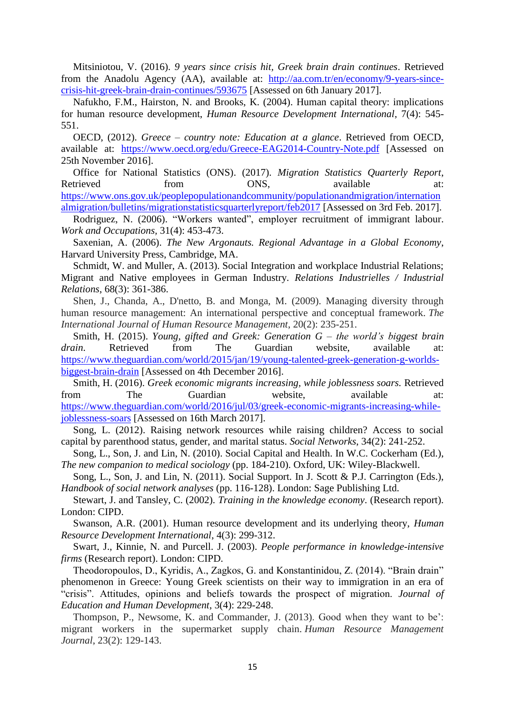Mitsiniotou, V. (2016). *9 years since crisis hit, Greek brain drain continues*. Retrieved from the Anadolu Agency (AA), available at: [http://aa.com.tr/en/economy/9-years-since](http://aa.com.tr/en/economy/9-years-since-crisis-hit-greek-brain-drain-continues/593675)[crisis-hit-greek-brain-drain-continues/593675](http://aa.com.tr/en/economy/9-years-since-crisis-hit-greek-brain-drain-continues/593675) [Assessed on 6th January 2017].

Nafukho, F.M., Hairston, N. and Brooks, K. (2004). Human capital theory: implications for human resource development, *Human Resource Development International*, 7(4): 545- 551.

OECD, (2012). *Greece – country note: Education at a glance*. Retrieved from OECD, available at: <https://www.oecd.org/edu/Greece-EAG2014-Country-Note.pdf> [Assessed on 25th November 2016].

Office for National Statistics (ONS). (2017). *Migration Statistics Quarterly Report*, Retrieved from ONS, available at: [https://www.ons.gov.uk/peoplepopulationandcommunity/populationandmigration/internation](https://www.ons.gov.uk/peoplepopulationandcommunity/populationandmigration/internationalmigration/bulletins/migrationstatisticsquarterlyreport/feb2017) [almigration/bulletins/migrationstatisticsquarterlyreport/feb2017](https://www.ons.gov.uk/peoplepopulationandcommunity/populationandmigration/internationalmigration/bulletins/migrationstatisticsquarterlyreport/feb2017) [Assessed on 3rd Feb. 2017].

Rodriguez, N. (2006). "Workers wanted", employer recruitment of immigrant labour. *Work and Occupations,* 31(4): 453-473.

Saxenian, A. (2006). *The New Argonauts. Regional Advantage in a Global Economy*, Harvard University Press, Cambridge, MA.

Schmidt, W. and Muller, A. (2013). Social Integration and workplace Industrial Relations; Migrant and Native employees in German Industry. *Relations Industrielles / Industrial Relations*, 68(3): 361-386.

Shen, J., Chanda, A., D'netto, B. and Monga, M. (2009). Managing diversity through human resource management: An international perspective and conceptual framework. *The International Journal of Human Resource Management*, 20(2): 235-251.

Smith, H. (2015). *Young, gifted and Greek: Generation G – the world's biggest brain drain*. Retrieved from The Guardian website, available at: [https://www.theguardian.com/world/2015/jan/19/young-talented-greek-generation-g-worlds](https://www.theguardian.com/world/2015/jan/19/young-talented-greek-generation-g-worlds-biggest-brain-drain)[biggest-brain-drain](https://www.theguardian.com/world/2015/jan/19/young-talented-greek-generation-g-worlds-biggest-brain-drain) [Assessed on 4th December 2016].

Smith, H. (2016). *Greek economic migrants increasing, while joblessness soars.* Retrieved from The Guardian website, available at: [https://www.theguardian.com/world/2016/jul/03/greek-economic-migrants-increasing-while](https://www.theguardian.com/world/2016/jul/03/greek-economic-migrants-increasing-while-joblessness-soars)[joblessness-soars](https://www.theguardian.com/world/2016/jul/03/greek-economic-migrants-increasing-while-joblessness-soars) [Assessed on 16th March 2017].

Song, L. (2012). Raising network resources while raising children? Access to social capital by parenthood status, gender, and marital status. *Social Networks*, 34(2): 241-252.

Song, L., Son, J. and Lin, N. (2010). Social Capital and Health. In W.C. Cockerham (Ed.), *The new companion to medical sociology* (pp. 184-210). Oxford, UK: Wiley-Blackwell.

Song, L., Son, J. and Lin, N. (2011). Social Support. In J. Scott & P.J. Carrington (Eds.), *Handbook of social network analyses* (pp. 116-128). London: Sage Publishing Ltd.

Stewart, J. and Tansley, C. (2002). *Training in the knowledge economy*. (Research report). London: CIPD.

Swanson, A.R. (2001). Human resource development and its underlying theory, *Human Resource Development International*, 4(3): 299-312.

Swart, J., Kinnie, N. and Purcell. J. (2003). *People performance in knowledge-intensive firms* (Research report). London: CIPD.

Theodoropoulos, D., Kyridis, A., Zagkos, G. and Konstantinidou, Z. (2014). "Brain drain" phenomenon in Greece: Young Greek scientists on their way to immigration in an era of "crisis". Attitudes, opinions and beliefs towards the prospect of migration. *Journal of Education and Human Development*, 3(4): 229-248.

Thompson, P., Newsome, K. and Commander, J. (2013). Good when they want to be': migrant workers in the supermarket supply chain. *Human Resource Management Journal*, 23(2): 129-143.